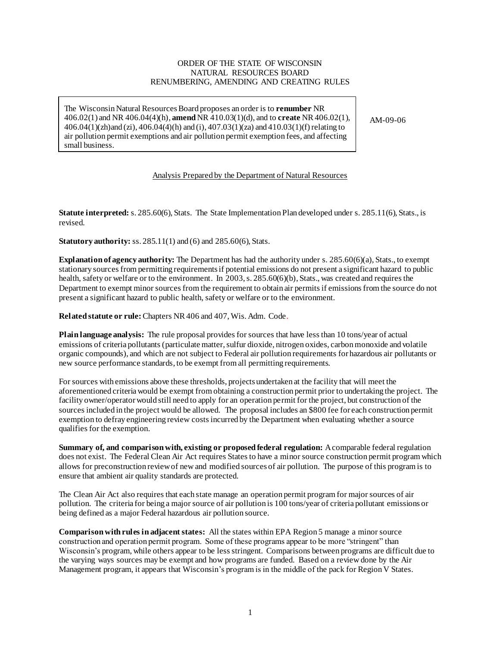### ORDER OF THE STATE OF WISCONSIN NATURAL RESOURCES BOARD RENUMBERING, AMENDING AND CREATING RULES

The Wisconsin Natural Resources Board proposes an order is to **renumber** NR 406.02(1) and NR 406.04(4)(h), **amend** NR 410.03(1)(d), and to **create** NR 406.02(1), 406.04(1)(zh)and (zi), 406.04(4)(h) and (i), 407.03(1)(za) and 410.03(1)(f) relating to air pollution permit exemptions and air pollution permit exemption fees, and affecting small business.

AM-09-06

## Analysis Prepared by the Department of Natural Resources

**Statute interpreted:** s. 285.60(6), Stats. The State Implementation Plan developed under s. 285.11(6), Stats., is revised.

**Statutory authority:** ss. 285.11(1) and (6) and 285.60(6), Stats.

**Explanation of agency authority:** The Department has had the authority under s. 285.60(6)(a), Stats., to exempt stationary sources from permitting requirements if potential emissions do not present a significant hazard to public health, safety or welfare or to the environment. In 2003, s. 285.60(6)(b), Stats., was created and requires the Department to exempt minor sources from the requirement to obtain air permits if emissions from the source do not present a significant hazard to public health, safety or welfare or to the environment.

**Related statute or rule:** Chapters NR 406 and 407, Wis. Adm. Code.

**Plain language analysis:** The rule proposal provides for sources that have less than 10 tons/year of actual emissions of criteria pollutants (particulate matter, sulfur dioxide, nitrogen oxides, carbon monoxide and volatile organic compounds), and which are not subject to Federal air pollution requirements for hazardous air pollutants or new source performance standards, to be exempt from all permitting requirements.

For sources with emissions above these thresholds, projects undertaken at the facility that will meet the aforementioned criteria would be exempt from obtaining a construction permit prior to undertaking the project. The facility owner/operator would still need to apply for an operation permit for the project, but construction of the sources included in the project would be allowed. The proposal includes an \$800 fee for each construction permit exemption to defray engineering review costs incurred by the Department when evaluating whether a source qualifies for the exemption.

**Summary of, and comparison with, existing or proposed federal regulation:** A comparable federal regulation does not exist. The Federal Clean Air Act requires States to have a minor source construction permit program which allows for preconstruction review of new and modified sources of air pollution. The purpose of this program is to ensure that ambient air quality standards are protected.

The Clean Air Act also requires that each state manage an operation permit program for major sources of air pollution. The criteria for being a major source of air pollution is 100 tons/year of criteria pollutant emissions or being defined as a major Federal hazardous air pollution source.

**Comparison with rules in adjacent states:** All the states within EPA Region 5 manage a minor source construction and operation permit program. Some of these programs appear to be more "stringent" than Wisconsin's program, while others appear to be less stringent. Comparisons between programs are difficult due to the varying ways sources may be exempt and how programs are funded. Based on a review done by the Air Management program, it appears that Wisconsin's program is in the middle of the pack for Region V States.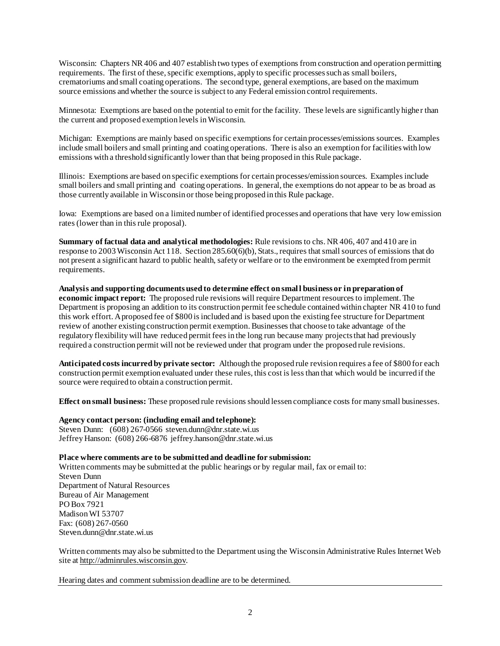Wisconsin: Chapters NR406 and 407 establish two types of exemptions from construction and operation permitting requirements. The first of these, specific exemptions, apply to specific processes such as small boilers, crematoriums and small coating operations. The second type, general exemptions, are based on the maximum source emissions and whether the source is subject to any Federal emission control requirements.

Minnesota: Exemptions are based on the potential to emit for the facility. These levels are significantly highe r than the current and proposed exemption levels in Wisconsin.

Michigan: Exemptions are mainly based on specific exemptions for certain processes/emissions sources. Examples include small boilers and small printing and coating operations. There is also an exemption for facilities with low emissions with a threshold significantly lower than that being proposed in this Rule package.

Illinois: Exemptions are based on specific exemptions for certain processes/emission sources. Examples include small boilers and small printing and coating operations. In general, the exemptions do not appear to be as broad as those currently available in Wisconsin or those being proposed in this Rule package.

Iowa: Exemptions are based on a limited number of identified processes and operations that have very low emission rates (lower than in this rule proposal).

**Summary of factual data and analytical methodologies:** Rule revisions to chs. NR 406, 407 and 410 are in response to 2003 Wisconsin Act 118. Section 285.60(6)(b), Stats., requires that small sources of emissions that do not present a significant hazard to public health, safety or welfare or to the environment be exempted from permit requirements.

**Analysis and supporting documents used to determine effect on small business or in preparation of economic impact report:** The proposed rule revisions will require Department resources to implement. The Department is proposing an addition to its construction permit fee schedule contained within chapter NR 410 to fund this work effort. A proposed fee of \$800 is included and is based upon the existing fee structure for Department review of another existing construction permit exemption. Businesses that choose to take advantage of the regulatory flexibility will have reduced permit fees in the long run because many projects that had previously required a construction permit will not be reviewed under that program under the proposed rule revisions.

**Anticipated costs incurred by private sector:** Although the proposed rule revision requires a fee of \$800 for each construction permit exemption evaluated under these rules, this cost is less than that which would be incurred if the source were required to obtain a construction permit.

**Effect on small business:** These proposed rule revisions should lessen compliance costs for many small businesses.

**Agency contact person: (including email and telephone):** Steven Dunn: (608) 267-0566 steven.dunn@dnr.state.wi.us Jeffrey Hanson: (608) 266-6876 jeffrey.hanson@dnr.state.wi.us

**Place where comments are to be submitted and deadline for submission:**  Written comments may be submitted at the public hearings or by regular mail, fax or email to: Steven Dunn Department of Natural Resources Bureau of Air Management PO Box 7921 Madison WI 53707 Fax: (608) 267-0560 Steven.dunn@dnr.state.wi.us

Written comments may also be submitted to the Department using the Wisconsin Administrative Rules Internet Web site at http://adminrules.wisconsin.gov.

Hearing dates and comment submission deadline are to be determined.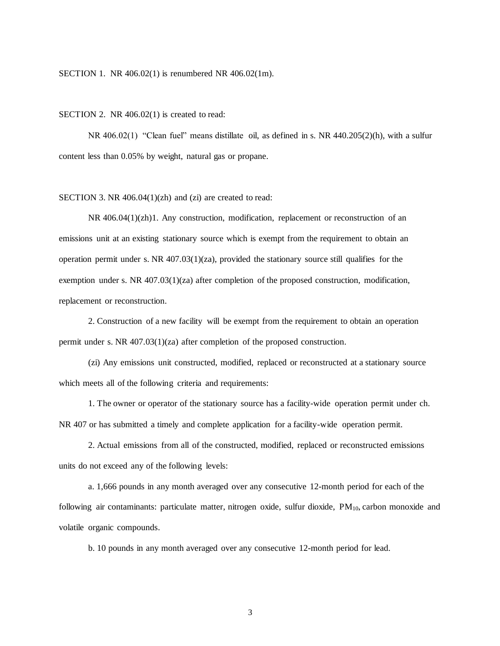#### SECTION 1. NR 406.02(1) is renumbered NR 406.02(1m).

#### SECTION 2. NR 406.02(1) is created to read:

NR 406.02(1) "Clean fuel" means distillate oil, as defined in s. NR 440.205(2)(h), with a sulfur content less than 0.05% by weight, natural gas or propane.

### SECTION 3. NR 406.04(1)(zh) and (zi) are created to read:

NR 406.04(1)(zh)1. Any construction, modification, replacement or reconstruction of an emissions unit at an existing stationary source which is exempt from the requirement to obtain an operation permit under s. NR  $407.03(1)(za)$ , provided the stationary source still qualifies for the exemption under s. NR 407.03(1)(za) after completion of the proposed construction, modification, replacement or reconstruction.

2. Construction of a new facility will be exempt from the requirement to obtain an operation permit under s. NR 407.03(1)(za) after completion of the proposed construction.

(zi) Any emissions unit constructed, modified, replaced or reconstructed at a stationary source which meets all of the following criteria and requirements:

1. The owner or operator of the stationary source has a facility-wide operation permit under ch. NR 407 or has submitted a timely and complete application for a facility-wide operation permit.

2. Actual emissions from all of the constructed, modified, replaced or reconstructed emissions units do not exceed any of the following levels:

a. 1,666 pounds in any month averaged over any consecutive 12-month period for each of the following air contaminants: particulate matter, nitrogen oxide, sulfur dioxide, PM10, carbon monoxide and volatile organic compounds.

b. 10 pounds in any month averaged over any consecutive 12-month period for lead.

3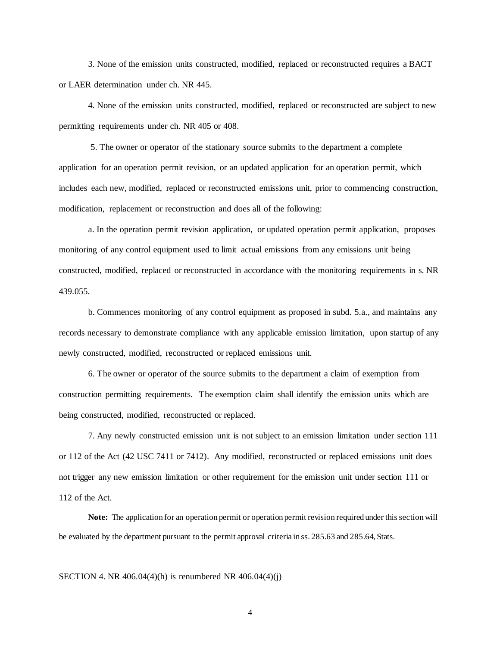3. None of the emission units constructed, modified, replaced or reconstructed requires a BACT or LAER determination under ch. NR 445.

4. None of the emission units constructed, modified, replaced or reconstructed are subject to new permitting requirements under ch. NR 405 or 408.

5. The owner or operator of the stationary source submits to the department a complete application for an operation permit revision, or an updated application for an operation permit, which includes each new, modified, replaced or reconstructed emissions unit, prior to commencing construction, modification, replacement or reconstruction and does all of the following:

a. In the operation permit revision application, or updated operation permit application, proposes monitoring of any control equipment used to limit actual emissions from any emissions unit being constructed, modified, replaced or reconstructed in accordance with the monitoring requirements in s. NR 439.055.

b. Commences monitoring of any control equipment as proposed in subd. 5.a., and maintains any records necessary to demonstrate compliance with any applicable emission limitation, upon startup of any newly constructed, modified, reconstructed or replaced emissions unit.

6. The owner or operator of the source submits to the department a claim of exemption from construction permitting requirements. The exemption claim shall identify the emission units which are being constructed, modified, reconstructed or replaced.

7. Any newly constructed emission unit is not subject to an emission limitation under section 111 or 112 of the Act (42 USC 7411 or 7412). Any modified, reconstructed or replaced emissions unit does not trigger any new emission limitation or other requirement for the emission unit under section 111 or 112 of the Act.

**Note:** The application for an operation permit or operation permit revision required under this section will be evaluated by the department pursuant to the permit approval criteria in ss. 285.63 and 285.64, Stats.

SECTION 4. NR  $406.04(4)(h)$  is renumbered NR  $406.04(4)(i)$ 

4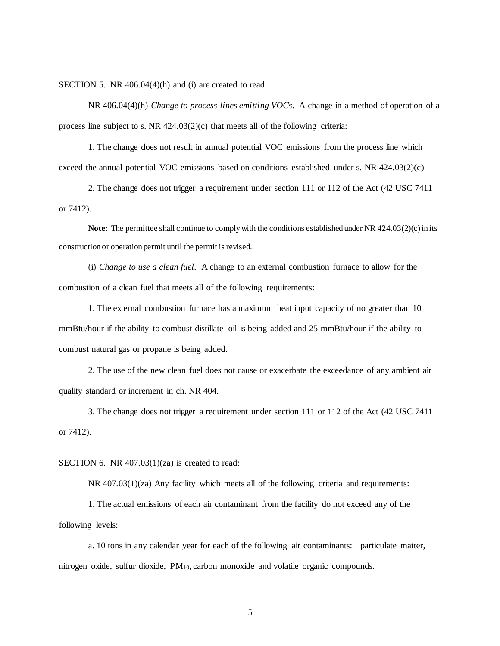SECTION 5. NR 406.04(4)(h) and (i) are created to read:

NR 406.04(4)(h) *Change to process lines emitting VOCs*. A change in a method of operation of a process line subject to s. NR 424.03(2)(c) that meets all of the following criteria:

1. The change does not result in annual potential VOC emissions from the process line which exceed the annual potential VOC emissions based on conditions established under s. NR 424.03(2)(c)

2. The change does not trigger a requirement under section 111 or 112 of the Act (42 USC 7411 or 7412).

**Note**: The permittee shall continue to comply with the conditions established under NR 424.03(2)(c) in its construction or operation permit until the permit is revised.

(i) *Change to use a clean fuel*. A change to an external combustion furnace to allow for the combustion of a clean fuel that meets all of the following requirements:

1. The external combustion furnace has a maximum heat input capacity of no greater than 10 mmBtu/hour if the ability to combust distillate oil is being added and 25 mmBtu/hour if the ability to combust natural gas or propane is being added.

2. The use of the new clean fuel does not cause or exacerbate the exceedance of any ambient air quality standard or increment in ch. NR 404.

3. The change does not trigger a requirement under section 111 or 112 of the Act (42 USC 7411 or 7412).

SECTION 6. NR 407.03(1)(za) is created to read:

NR 407.03(1)(za) Any facility which meets all of the following criteria and requirements:

1. The actual emissions of each air contaminant from the facility do not exceed any of the following levels:

a. 10 tons in any calendar year for each of the following air contaminants: particulate matter, nitrogen oxide, sulfur dioxide, PM10, carbon monoxide and volatile organic compounds.

5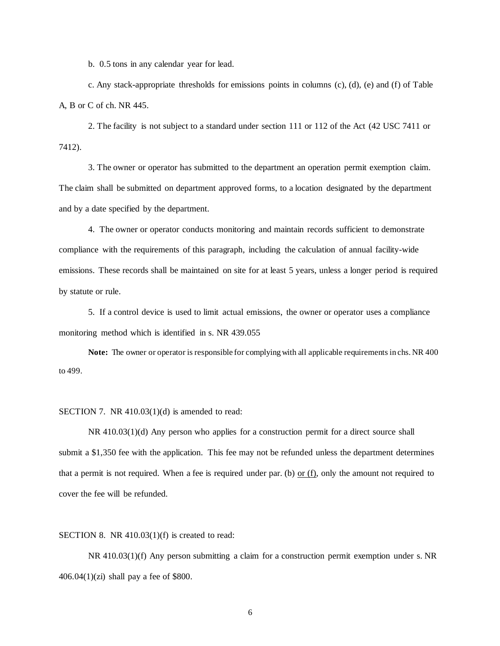b. 0.5 tons in any calendar year for lead.

c. Any stack-appropriate thresholds for emissions points in columns (c), (d), (e) and (f) of Table A, B or C of ch. NR 445.

2. The facility is not subject to a standard under section 111 or 112 of the Act (42 USC 7411 or 7412).

3. The owner or operator has submitted to the department an operation permit exemption claim. The claim shall be submitted on department approved forms, to a location designated by the department and by a date specified by the department.

4. The owner or operator conducts monitoring and maintain records sufficient to demonstrate compliance with the requirements of this paragraph, including the calculation of annual facility-wide emissions. These records shall be maintained on site for at least 5 years, unless a longer period is required by statute or rule.

5. If a control device is used to limit actual emissions, the owner or operator uses a compliance monitoring method which is identified in s. NR 439.055

**Note:** The owner or operator is responsible for complying with all applicable requirements in chs. NR 400 to 499.

## SECTION 7. NR 410.03(1)(d) is amended to read:

NR 410.03(1)(d) Any person who applies for a construction permit for a direct source shall submit a \$1,350 fee with the application. This fee may not be refunded unless the department determines that a permit is not required. When a fee is required under par. (b) or  $(f)$ , only the amount not required to cover the fee will be refunded.

SECTION 8. NR 410.03(1)(f) is created to read:

NR 410.03(1)(f) Any person submitting a claim for a construction permit exemption under s. NR 406.04 $(1)(zi)$  shall pay a fee of \$800.